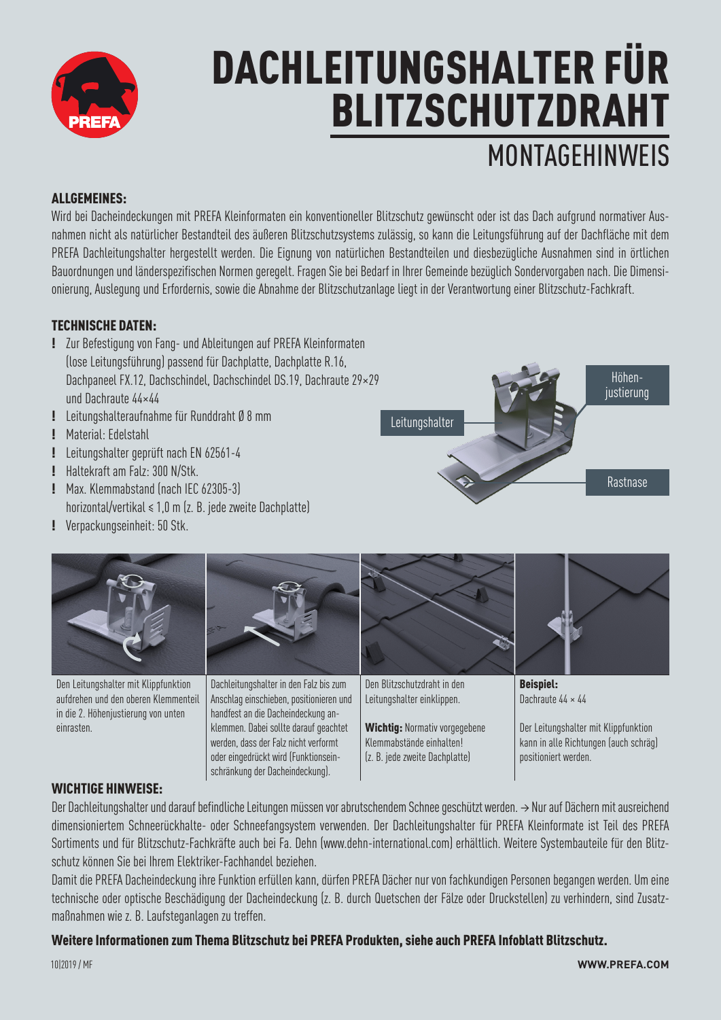

## DACHLEITUNGSHALTER FÜR BLITZSCHUTZDRAHT MONTAGEHINWEIS

### ALLGEMEINES:

Wird bei Dacheindeckungen mit PREFA Kleinformaten ein konventioneller Blitzschutz gewünscht oder ist das Dach aufgrund normativer Ausnahmen nicht als natürlicher Bestandteil des äußeren Blitzschutzsystems zulässig, so kann die Leitungsführung auf der Dachfläche mit dem PREFA Dachleitungshalter hergestellt werden. Die Eignung von natürlichen Bestandteilen und diesbezügliche Ausnahmen sind in örtlichen Bauordnungen und länderspezifischen Normen geregelt. Fragen Sie bei Bedarf in Ihrer Gemeinde bezüglich Sondervorgaben nach. Die Dimensionierung, Auslegung und Erfordernis, sowie die Abnahme der Blitzschutzanlage liegt in der Verantwortung einer Blitzschutz-Fachkraft.

### TECHNISCHE DATEN:

- ! Zur Befestigung von Fang- und Ableitungen auf PREFA Kleinformaten (lose Leitungsführung) passend für Dachplatte, Dachplatte R.16, Dachpaneel FX.12, Dachschindel, Dachschindel DS.19, Dachraute 29×29 und Dachraute 44×44
- ! Leitungshalteraufnahme für Runddraht Ø 8 mm
- ! Material: Edelstahl
- ! Leitungshalter geprüft nach EN 62561-4
- ! Haltekraft am Falz: 300 N/Stk.
- ! Max. Klemmabstand (nach IEC 62305-3) horizontal/vertikal ≤ 1,0 m (z. B. jede zweite Dachplatte)
- ! Verpackungseinheit: 50 Stk.



Den Leitungshalter mit Klippfunktion aufdrehen und den oberen Klemmenteil in die 2. Höhenjustierung von unten einrasten.



Dachleitungshalter in den Falz bis zum Anschlag einschieben, positionieren und handfest an die Dacheindeckung anklemmen. Dabei sollte darauf geachtet werden, dass der Falz nicht verformt oder eingedrückt wird (Funktionseinschränkung der Dacheindeckung).

Den Blitzschutzdraht in den Leitungshalter einklippen.

Leitungshalter

Wichtig: Normativ vorgegebene Klemmabstände einhalten! (z. B. jede zweite Dachplatte)

Beispiel: Dachraute 44 × 44

Der Leitungshalter mit Klippfunktion kann in alle Richtungen (auch schräg) positioniert werden.

Rastnase

Höhenjustierung

### WICHTIGE HINWEISE:

Der Dachleitungshalter und darauf befindliche Leitungen müssen vor abrutschendem Schnee geschützt werden. → Nur auf Dächern mit ausreichend dimensioniertem Schneerückhalte- oder Schneefangsystem verwenden. Der Dachleitungshalter für PREFA Kleinformate ist Teil des PREFA Sortiments und für Blitzschutz-Fachkräfte auch bei Fa. Dehn (www.dehn-international.com) erhältlich. Weitere Systembauteile für den Blitzschutz können Sie bei Ihrem Elektriker-Fachhandel beziehen.

Damit die PREFA Dacheindeckung ihre Funktion erfüllen kann, dürfen PREFA Dächer nur von fachkundigen Personen begangen werden. Um eine technische oder optische Beschädigung der Dacheindeckung (z. B. durch Quetschen der Fälze oder Druckstellen) zu verhindern, sind Zusatzmaßnahmen wie z. B. Laufsteganlagen zu treffen.

### Weitere Informationen zum Thema Blitzschutz bei PREFA Produkten, siehe auch PREFA Infoblatt Blitzschutz.